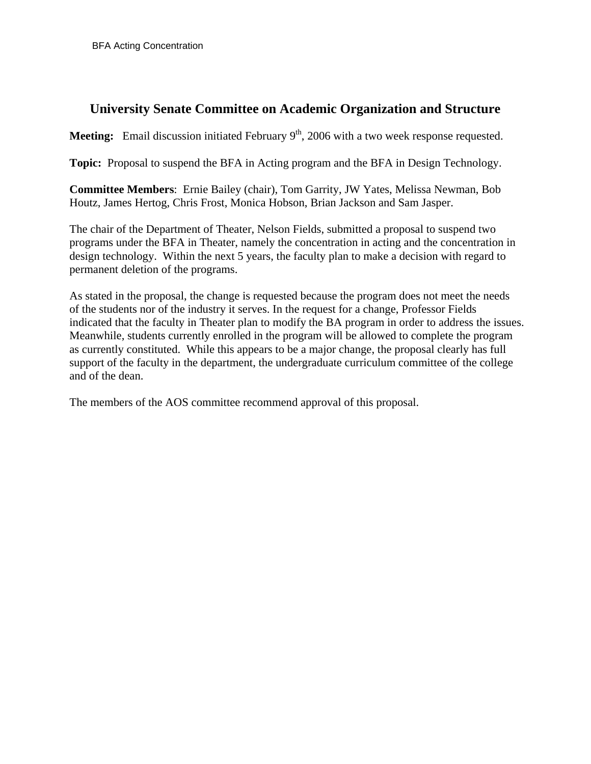# **University Senate Committee on Academic Organization and Structure**

**Meeting:** Email discussion initiated February 9<sup>th</sup>, 2006 with a two week response requested.

**Topic:** Proposal to suspend the BFA in Acting program and the BFA in Design Technology.

**Committee Members**: Ernie Bailey (chair), Tom Garrity, JW Yates, Melissa Newman, Bob Houtz, James Hertog, Chris Frost, Monica Hobson, Brian Jackson and Sam Jasper.

The chair of the Department of Theater, Nelson Fields, submitted a proposal to suspend two programs under the BFA in Theater, namely the concentration in acting and the concentration in design technology. Within the next 5 years, the faculty plan to make a decision with regard to permanent deletion of the programs.

As stated in the proposal, the change is requested because the program does not meet the needs of the students nor of the industry it serves. In the request for a change, Professor Fields indicated that the faculty in Theater plan to modify the BA program in order to address the issues. Meanwhile, students currently enrolled in the program will be allowed to complete the program as currently constituted. While this appears to be a major change, the proposal clearly has full support of the faculty in the department, the undergraduate curriculum committee of the college and of the dean.

The members of the AOS committee recommend approval of this proposal.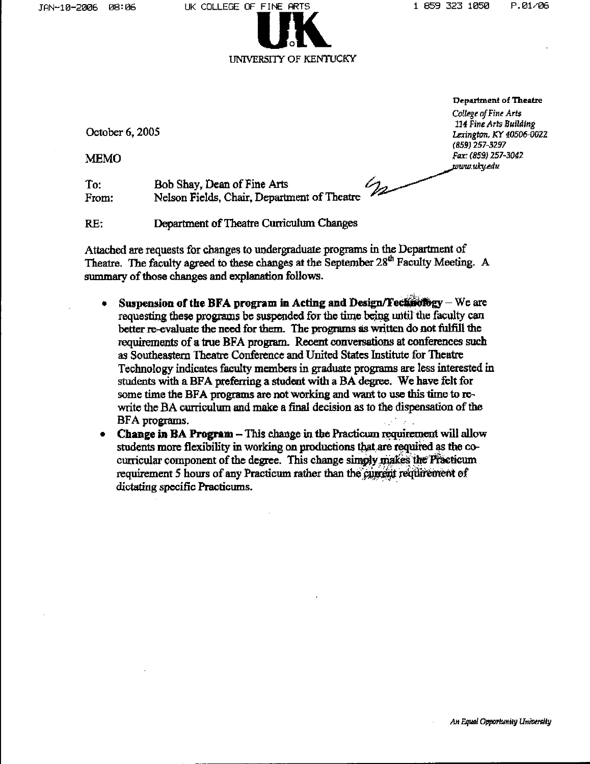

Department of Theatre

College of Fine Arts 114 Fine Arts Building Lexington, KY 40506-0022 (859) 257-3297 Fax: (859) 257-3042 www.uky.edu

October 6, 2005

**MEMO** 

Bob Shay, Dean of Fine Arts  $\mathscr{D}_{\mathbf{Z}}$ To: Nelson Fields, Chair, Department of Theatre From:

RE: Department of Theatre Curriculum Changes

Attached are requests for changes to undergraduate programs in the Department of Theatre. The faculty agreed to these changes at the September 28<sup>th</sup> Faculty Meeting. A summary of those changes and explanation follows.

- Suspension of the BFA program in Acting and Design/Technology We are requesting these programs be suspended for the time being until the faculty can better re-evaluate the need for them. The programs as written do not fulfill the requirements of a true BFA program. Recent conversations at conferences such as Southeastern Theatre Conference and United States Institute for Theatre Technology indicates faculty members in graduate programs are less interested in students with a BFA preferring a student with a BA degree. We have felt for some time the BFA programs are not working and want to use this time to rewrite the BA curriculum and make a final decision as to the dispensation of the BFA programs.
- **Change in BA Program This change in the Practicum requirement will allow**  $\bullet$ students more flexibility in working on productions that are required as the cocurricular component of the degree. This change simply makes the Practicum requirement 5 hours of any Practicum rather than the current requirement of dictating specific Practicums.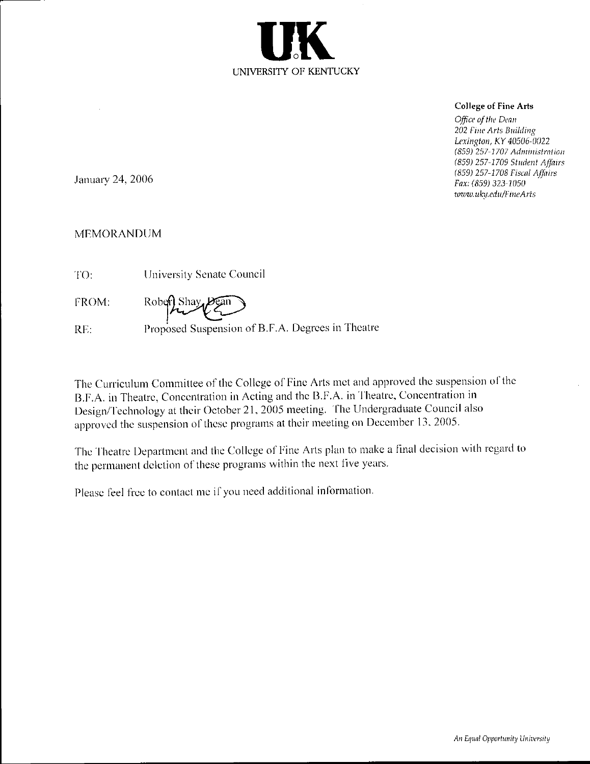

## **College of Fine Arts**

Office of the Dean 202 Fine Arts Building Lexington, KY 40506-0022 (859) 257-1707 Administration (859) 257-1709 Student Affairs (859) 257-1708 Fiscal Affairs Fax: (859) 323-1050 www.uky.edu/FineArts

January 24, 2006

## **MEMORANDUM**

| TO:   | University Senate Council                        |
|-------|--------------------------------------------------|
| FROM: | Robert Shay                                      |
| RE.   | Proposed Suspension of B.F.A. Degrees in Theatre |

The Curriculum Committee of the College of Fine Arts met and approved the suspension of the B.F.A. in Theatre, Concentration in Acting and the B.F.A. in Theatre, Concentration in Design/Technology at their October 21, 2005 meeting. The Undergraduate Council also approved the suspension of these programs at their meeting on December 13, 2005.

The Theatre Department and the College of Fine Arts plan to make a final decision with regard to the permanent deletion of these programs within the next five years.

Please feel free to contact me if you need additional information.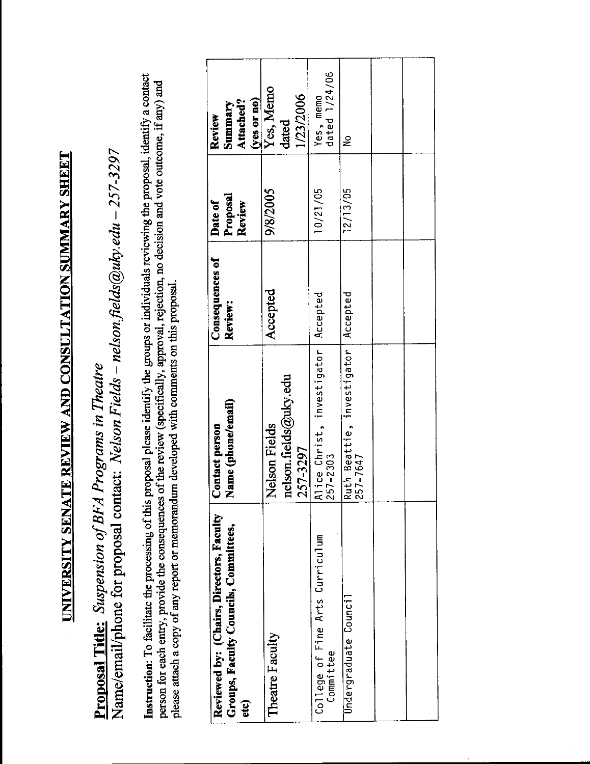# UNIVERSITY SENATE REVIEW AND CONSULTATION SUMMARY SHEET

Name/email/phone for proposal contact: Nelson Fields - nelson.fields@uky.edu - 257-3297 Proposal Title: Suspension of BFA Programs in Theatre

Instruction: To facilitate the processing of this proposal please identify the groups or individuals reviewing the proposal, identify a contact person for each entry, provide the consequences of the review (specifically, approval, rejection, no decision and vote outcome, if any) and please attach a copy of any report or memorandum developed with comments on this proposal.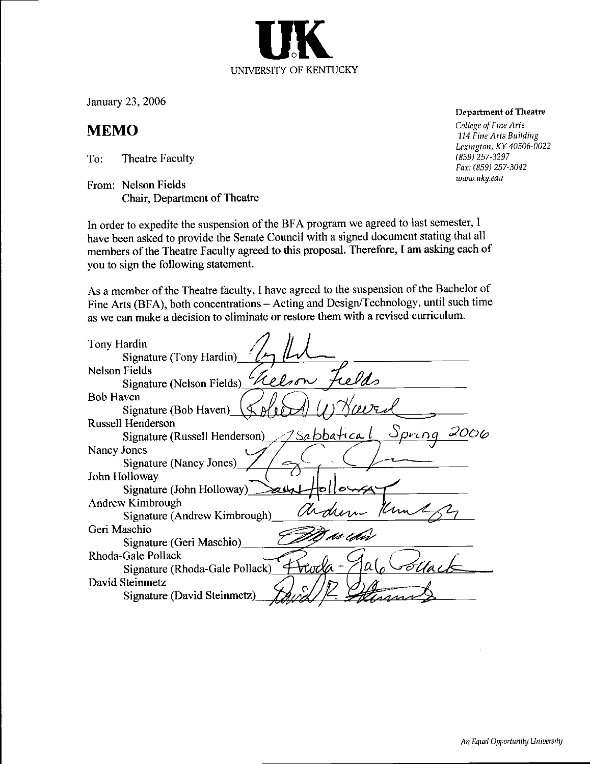January 23, 2006

# **MEMO**

To: Theatre Faculty

From: Nelson Fields Chair, Department of Theatre

In order to expedite the suspension of the BFA program we agreed to last semester, I have been asked to provide the Senate Council with a signed document stating that all members of the Theatre Faculty agreed to this proposal. Therefore, I am asking each of you to sign the following statement.

UNIVERSITY OF KENTUCKY

As a member of the Theatre faculty, I have agreed to the suspension of the Bachelor of Fine Arts (BFA), both concentrations - Acting and Design/Technology, until such time as we can make a decision to eliminate or restore them with a revised curriculum.

| Tony Hardin                                                 |
|-------------------------------------------------------------|
| Signature (Tony Hardin)                                     |
| <b>Nelson Fields</b>                                        |
| Signature (Nelson Fields) Relson 7                          |
| Bob Haven                                                   |
| $A'$ 00<br>Signature (Bob Haven) $\sqrt{\xi}$               |
| <b>Russell Henderson</b>                                    |
| <u> Jsabbatical</u> Spring<br>Signature (Russell Henderson) |
| Nancy Jones                                                 |
| Signature (Nancy Jones)                                     |
| John Holloway                                               |
| Signature (John Holloway) $\geq$                            |
| Andrew Kimbrough                                            |
| Signature (Andrew Kimbrough)                                |
| Geri Maschio                                                |
| Signature (Geri Maschio)                                    |
| Rhoda-Gale Pollack                                          |
| tituda -<br>Signature (Rhoda-Gale Pollack)                  |
| David Steinmetz                                             |
| Signature (David Steinmetz)                                 |
|                                                             |

### **Department of Theatre**

College of Fine Arts 114 Fine Arts Building Lexington, KY 40506-0022  $(859)$  257-3297 Fax: (859) 257-3042 www.uky.edu